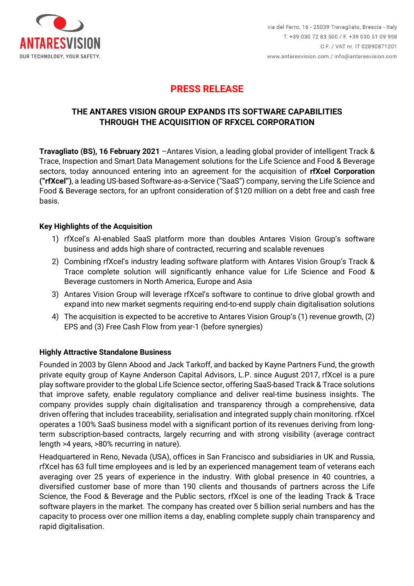

## **THE ANTARES VISION GROUP EXPANDS ITS SOFTWARE CAPABILITIES THROUGH THE ACQUISITION OF RFXCEL CORPORATION**

**Travagliato (BS), 16 February 2021** –Antares Vision, a leading global provider of intelligent Track & Trace, Inspection and Smart Data Management solutions for the Life Science and Food & Beverage sectors, today announced entering into an agreement for the acquisition of **rfXcel Corporation ("rfXcel")**, a leading US-based Software-as-a-Service ("SaaS") company, serving the Life Science and Food & Beverage sectors, for an upfront consideration of \$120 million on a debt free and cash free basis.

### **Key Highlights of the Acquisition**

- 1) rfXcel's AI-enabled SaaS platform more than doubles Antares Vision Group's software business and adds high share of contracted, recurring and scalable revenues
- 2) Combining rfXcel's industry leading software platform with Antares Vision Group's Track & Trace complete solution will significantly enhance value for Life Science and Food & Beverage customers in North America, Europe and Asia
- 3) Antares Vision Group will leverage rfXcel's software to continue to drive global growth and expand into new market segments requiring end-to-end supply chain digitalisation solutions
- 4) The acquisition is expected to be accretive to Antares Vision Group's (1) revenue growth, (2) EPS and (3) Free Cash Flow from year-1 (before synergies)

### **Highly Attractive Standalone Business**

Founded in 2003 by Glenn Abood and Jack Tarkoff, and backed by Kayne Partners Fund, the growth private equity group of Kayne Anderson Capital Advisors, L.P. since August 2017, rfXcel is a pure play software provider to the global Life Science sector, offering SaaS-based Track & Trace solutions that improve safety, enable regulatory compliance and deliver real-time business insights. The company provides supply chain digitalisation and transparency through a comprehensive, data driven offering that includes traceability, serialisation and integrated supply chain monitoring. rfXcel operates a 100% SaaS business model with a significant portion of its revenues deriving from longterm subscription-based contracts, largely recurring and with strong visibility (average contract length >4 years, >80% recurring in nature).

Headquartered in Reno, Nevada (USA), offices in San Francisco and subsidiaries in UK and Russia, rfXcel has 63 full time employees and is led by an experienced management team of veterans each averaging over 25 years of experience in the industry. With global presence in 40 countries, a diversified customer base of more than 190 clients and thousands of partners across the Life Science, the Food & Beverage and the Public sectors, rfXcel is one of the leading Track & Trace software players in the market. The company has created over 5 billion serial numbers and has the capacity to process over one million items a day, enabling complete supply chain transparency and rapid digitalisation.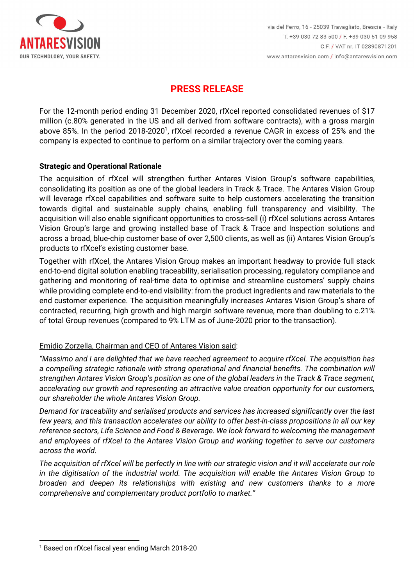

For the 12-month period ending 31 December 2020, rfXcel reported consolidated revenues of \$17 million (c.80% generated in the US and all derived from software contracts), with a gross margin above 85%. In the period 2018-2020<sup>1</sup>, rfXcel recorded a revenue CAGR in excess of 25% and the company is expected to continue to perform on a similar trajectory over the coming years.

### **Strategic and Operational Rationale**

The acquisition of rfXcel will strengthen further Antares Vision Group's software capabilities, consolidating its position as one of the global leaders in Track & Trace. The Antares Vision Group will leverage rfXcel capabilities and software suite to help customers accelerating the transition towards digital and sustainable supply chains, enabling full transparency and visibility. The acquisition will also enable significant opportunities to cross-sell (i) rfXcel solutions across Antares Vision Group's large and growing installed base of Track & Trace and Inspection solutions and across a broad, blue-chip customer base of over 2,500 clients, as well as (ii) Antares Vision Group's products to rfXcel's existing customer base.

Together with rfXcel, the Antares Vision Group makes an important headway to provide full stack end-to-end digital solution enabling traceability, serialisation processing, regulatory compliance and gathering and monitoring of real-time data to optimise and streamline customers' supply chains while providing complete end-to-end visibility: from the product ingredients and raw materials to the end customer experience. The acquisition meaningfully increases Antares Vision Group's share of contracted, recurring, high growth and high margin software revenue, more than doubling to c.21% of total Group revenues (compared to 9% LTM as of June-2020 prior to the transaction).

## Emidio Zorzella, Chairman and CEO of Antares Vision said:

*"Massimo and I are delighted that we have reached agreement to acquire rfXcel. The acquisition has a compelling strategic rationale with strong operational and financial benefits. The combination will strengthen Antares Vision Group's position as one of the global leaders in the Track & Trace segment, accelerating our growth and representing an attractive value creation opportunity for our customers, our shareholder the whole Antares Vision Group.* 

*Demand for traceability and serialised products and services has increased significantly over the last few years, and this transaction accelerates our ability to offer best-in-class propositions in all our key reference sectors, Life Science and Food & Beverage. We look forward to welcoming the management and employees of rfXcel to the Antares Vision Group and working together to serve our customers across the world.* 

*The acquisition of rfXcel will be perfectly in line with our strategic vision and it will accelerate our role in the digitisation of the industrial world. The acquisition will enable the Antares Vision Group to broaden and deepen its relationships with existing and new customers thanks to a more comprehensive and complementary product portfolio to market."* 

<sup>1</sup> Based on rfXcel fiscal year ending March 2018-20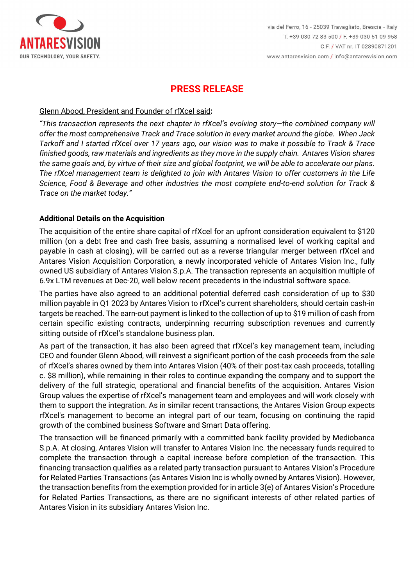

#### Glenn Abood, President and Founder of rfXcel said**:**

*"This transaction represents the next chapter in rfXcel's evolving story—the combined company will offer the most comprehensive Track and Trace solution in every market around the globe. When Jack Tarkoff and I started rfXcel over 17 years ago, our vision was to make it possible to Track & Trace finished goods, raw materials and ingredients as they move in the supply chain. Antares Vision shares the same goals and, by virtue of their size and global footprint, we will be able to accelerate our plans. The rfXcel management team is delighted to join with Antares Vision to offer customers in the Life Science, Food & Beverage and other industries the most complete end-to-end solution for Track & Trace on the market today."*

### **Additional Details on the Acquisition**

The acquisition of the entire share capital of rfXcel for an upfront consideration equivalent to \$120 million (on a debt free and cash free basis, assuming a normalised level of working capital and payable in cash at closing), will be carried out as a reverse triangular merger between rfXcel and Antares Vision Acquisition Corporation, a newly incorporated vehicle of Antares Vision Inc., fully owned US subsidiary of Antares Vision S.p.A. The transaction represents an acquisition multiple of 6.9x LTM revenues at Dec-20, well below recent precedents in the industrial software space.

The parties have also agreed to an additional potential deferred cash consideration of up to \$30 million payable in Q1 2023 by Antares Vision to rfXcel's current shareholders, should certain cash-in targets be reached. The earn-out payment is linked to the collection of up to \$19 million of cash from certain specific existing contracts, underpinning recurring subscription revenues and currently sitting outside of rfXcel's standalone business plan.

As part of the transaction, it has also been agreed that rfXcel's key management team, including CEO and founder Glenn Abood, will reinvest a significant portion of the cash proceeds from the sale of rfXcel's shares owned by them into Antares Vision (40% of their post-tax cash proceeds, totalling c. \$8 million), while remaining in their roles to continue expanding the company and to support the delivery of the full strategic, operational and financial benefits of the acquisition. Antares Vision Group values the expertise of rfXcel's management team and employees and will work closely with them to support the integration. As in similar recent transactions, the Antares Vision Group expects rfXcel's management to become an integral part of our team, focusing on continuing the rapid growth of the combined business Software and Smart Data offering.

The transaction will be financed primarily with a committed bank facility provided by Mediobanca S.p.A. At closing, Antares Vision will transfer to Antares Vision Inc. the necessary funds required to complete the transaction through a capital increase before completion of the transaction. This financing transaction qualifies as a related party transaction pursuant to Antares Vision's Procedure for Related Parties Transactions (as Antares Vision Inc is wholly owned by Antares Vision). However, the transaction benefits from the exemption provided for in article 3(e) of Antares Vision's Procedure for Related Parties Transactions, as there are no significant interests of other related parties of Antares Vision in its subsidiary Antares Vision Inc.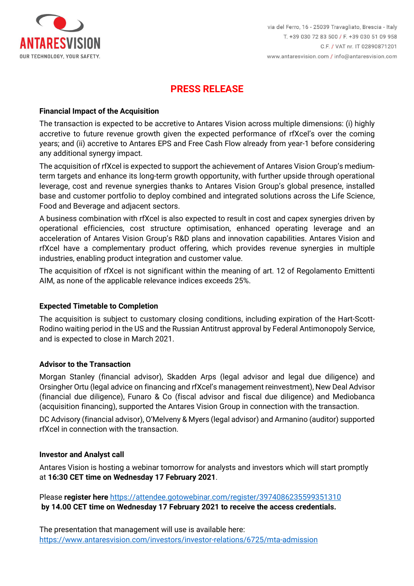

#### **Financial Impact of the Acquisition**

The transaction is expected to be accretive to Antares Vision across multiple dimensions: (i) highly accretive to future revenue growth given the expected performance of rfXcel's over the coming years; and (ii) accretive to Antares EPS and Free Cash Flow already from year-1 before considering any additional synergy impact.

The acquisition of rfXcel is expected to support the achievement of Antares Vision Group's mediumterm targets and enhance its long-term growth opportunity, with further upside through operational leverage, cost and revenue synergies thanks to Antares Vision Group's global presence, installed base and customer portfolio to deploy combined and integrated solutions across the Life Science, Food and Beverage and adjacent sectors.

A business combination with rfXcel is also expected to result in cost and capex synergies driven by operational efficiencies, cost structure optimisation, enhanced operating leverage and an acceleration of Antares Vision Group's R&D plans and innovation capabilities. Antares Vision and rfXcel have a complementary product offering, which provides revenue synergies in multiple industries, enabling product integration and customer value.

The acquisition of rfXcel is not significant within the meaning of art. 12 of Regolamento Emittenti AIM, as none of the applicable relevance indices exceeds 25%.

### **Expected Timetable to Completion**

The acquisition is subject to customary closing conditions, including expiration of the Hart-Scott-Rodino waiting period in the US and the Russian Antitrust approval by Federal Antimonopoly Service, and is expected to close in March 2021.

#### **Advisor to the Transaction**

Morgan Stanley (financial advisor), Skadden Arps (legal advisor and legal due diligence) and Orsingher Ortu (legal advice on financing and rfXcel's management reinvestment), New Deal Advisor (financial due diligence), Funaro & Co (fiscal advisor and fiscal due diligence) and Mediobanca (acquisition financing), supported the Antares Vision Group in connection with the transaction.

DC Advisory (financial advisor), O'Melveny & Myers (legal advisor) and Armanino (auditor) supported rfXcel in connection with the transaction.

#### **Investor and Analyst call**

Antares Vision is hosting a webinar tomorrow for analysts and investors which will start promptly at **16:30 CET time on Wednesday 17 February 2021**.

Please **register here** https://attendee.gotowebinar.com/register/3974086235599351310  **by 14.00 CET time on Wednesday 17 February 2021 to receive the access credentials.**

The presentation that management will use is available here: https://www.antaresvision.com/investors/investor-relations/6725/mta-admission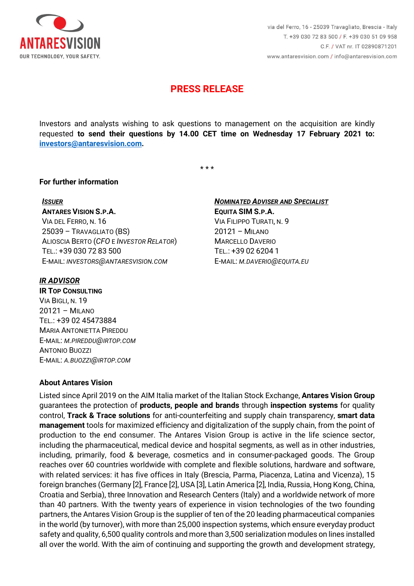

Investors and analysts wishing to ask questions to management on the acquisition are kindly requested **to send their questions by 14.00 CET time on Wednesday 17 February 2021 to: investors@antaresvision.com.** 

\* \* \*

#### **For further information**

#### *ISSUER*

**ANTARES VISION S.P.A.** 

VIA DEL FERRO, N. 16 25039 – TRAVAGLIATO (BS) ALIOSCIA BERTO (*CFO* E *INVESTOR RELATOR*) TEL.: +39 030 72 83 500 E-MAIL: *INVESTORS@ANTARESVISION.COM*

#### *IR ADVISOR*

**IR TOP CONSULTING** VIA BIGLI, N. 19 20121 – MILANO TEL.: +39 02 45473884 MARIA ANTONIETTA PIREDDU E-MAIL: *M.PIREDDU@IRTOP.COM* ANTONIO BUOZZI E-MAIL: *A.BUOZZI@IRTOP.COM*

### **About Antares Vision**

*NOMINATED ADVISER AND SPECIALIST* **EQUITA SIM S.P.A.**  VIA FILIPPO TURATI, N. 9 20121 – MILANO MARCELLO DAVERIO TEL.: +39 02 6204 1 E-MAIL: *M.DAVERIO@EQUITA.EU*

Listed since April 2019 on the AIM Italia market of the Italian Stock Exchange, **Antares Vision Group** guarantees the protection of **products, people and brands** through **inspection systems** for quality control, **Track & Trace solutions** for anti-counterfeiting and supply chain transparency, **smart data management** tools for maximized efficiency and digitalization of the supply chain, from the point of production to the end consumer. The Antares Vision Group is active in the life science sector, including the pharmaceutical, medical device and hospital segments, as well as in other industries, including, primarily, food & beverage, cosmetics and in consumer-packaged goods. The Group reaches over 60 countries worldwide with complete and flexible solutions, hardware and software, with related services: it has five offices in Italy (Brescia, Parma, Piacenza, Latina and Vicenza), 15 foreign branches (Germany [2], France [2], USA [3], Latin America [2], India, Russia, Hong Kong, China, Croatia and Serbia), three Innovation and Research Centers (Italy) and a worldwide network of more than 40 partners. With the twenty years of experience in vision technologies of the two founding partners, the Antares Vision Group is the supplier of ten of the 20 leading pharmaceutical companies in the world (by turnover), with more than 25,000 inspection systems, which ensure everyday product safety and quality, 6,500 quality controls and more than 3,500 serialization modules on lines installed all over the world. With the aim of continuing and supporting the growth and development strategy,